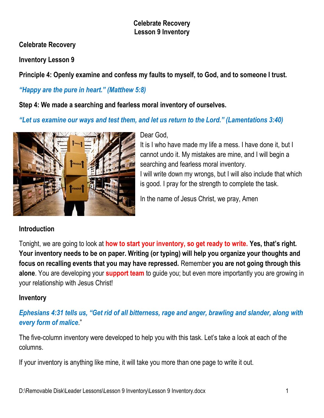**Celebrate Recovery**

**Inventory Lesson 9**

**Principle 4: Openly examine and confess my faults to myself, to God, and to someone I trust.** 

# *"Happy are the pure in heart." (Matthew 5:8)*

**Step 4: We made a searching and fearless moral inventory of ourselves.**

*"Let us examine our ways and test them, and let us return to the Lord." (Lamentations 3:40)* 



#### Dear God,

It is I who have made my life a mess. I have done it, but I cannot undo it. My mistakes are mine, and I will begin a searching and fearless moral inventory. I will write down my wrongs, but I will also include that which is good. I pray for the strength to complete the task.

In the name of Jesus Christ, we pray, Amen

# **Introduction**

Tonight, we are going to look at **how to start your inventory, so get ready to write. Yes, that's right. Your inventory needs to be on paper. Writing (or typing) will help you organize your thoughts and focus on recalling events that you may have repressed.** Remember **you are not going through this alone**. You are developing your **support team** to guide you; but even more importantly you are growing in your relationship with Jesus Christ!

## **Inventory**

# *Ephesians 4:31 tells us, "Get rid of all bitterness, rage and anger, brawling and slander, along with every form of malice*."

The five-column inventory were developed to help you with this task. Let's take a look at each of the columns.

If your inventory is anything like mine, it will take you more than one page to write it out.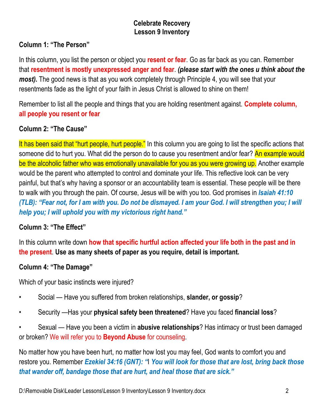# **Column 1: "The Person"**

In this column, you list the person or object you **resent or fear**. Go as far back as you can. Remember that **resentment is mostly unexpressed anger and fear**. *(please start with the ones u think about the most*). The good news is that as you work completely through Principle 4, you will see that your resentments fade as the light of your faith in Jesus Christ is allowed to shine on them!

Remember to list all the people and things that you are holding resentment against. **Complete column, all people you resent or fear**

#### **Column 2: "The Cause"**

It has been said that "hurt people, hurt people." In this column you are going to list the specific actions that someone did to hurt you. What did the person do to cause you resentment and/or fear? An example would be the alcoholic father who was emotionally unavailable for you as you were growing up. Another example would be the parent who attempted to control and dominate your life. This reflective look can be very painful, but that's why having a sponsor or an accountability team is essential. These people will be there to walk with you through the pain. Of course, Jesus will be with you too. God promises in *Isaiah 41:10 (TLB): "Fear not, for I am with you. Do not be dismayed. I am your God. I will strengthen you; I will help you; I will uphold you with my victorious right hand."* 

## **Column 3: "The Effect"**

In this column write down **how that specific hurtful action affected your life both in the past and in the present**. **Use as many sheets of paper as you require, detail is important.**

## **Column 4: "The Damage"**

Which of your basic instincts were injured?

- Social Have you suffered from broken relationships, **slander, or gossip**?
- Security —Has your **physical safety been threatened**? Have you faced **financial loss**?
- Sexual Have you been a victim in **abusive relationships**? Has intimacy or trust been damaged or broken? We will refer you to **Beyond Abuse** for counseling.

No matter how you have been hurt, no matter how lost you may feel, God wants to comfort you and restore you. Remember *Ezekiel 34:16 (GNT): "*I *You will look for those that are lost, bring back those that wander off, bandage those that are hurt, and heal those that are sick."*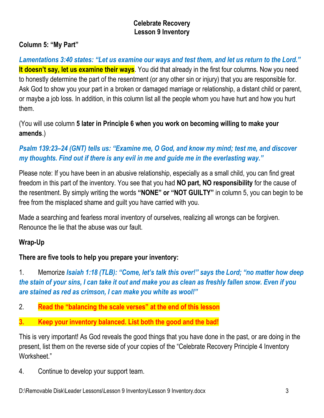## **Column 5: "My Part"**

*Lamentations 3:40 states: "Let us examine our ways and test them, and let us return to the Lord."* **It doesn't say, let us examine their ways**. You did that already in the first four columns. Now you need to honestly determine the part of the resentment (or any other sin or injury) that you are responsible for. Ask God to show you your part in a broken or damaged marriage or relationship, a distant child or parent, or maybe a job loss. In addition, in this column list all the people whom you have hurt and how you hurt them.

(You will use column **5 later in Principle 6 when you work on becoming willing to make your amends**.)

# *Psalm 139:23–24 (GNT) tells us: "Examine me, O God, and know my mind; test me, and discover my thoughts. Find out if there is any evil in me and guide me in the everlasting way."*

Please note: If you have been in an abusive relationship, especially as a small child, you can find great freedom in this part of the inventory. You see that you had **NO part, NO responsibility** for the cause of the resentment. By simply writing the words **"NONE" or "NOT GUILTY"** in column 5, you can begin to be free from the misplaced shame and guilt you have carried with you.

Made a searching and fearless moral inventory of ourselves, realizing all wrongs can be forgiven. Renounce the lie that the abuse was our fault.

## **Wrap-Up**

# **There are five tools to help you prepare your inventory:**

1. Memorize *Isaiah 1:18 (TLB): "Come, let's talk this over!" says the Lord; "no matter how deep the stain of your sins, I can take it out and make you as clean as freshly fallen snow. Even if you are stained as red as crimson, I can make you white as wool!"* 

- 2. **Read the "balancing the scale verses" at the end of this lesson**
- **3. Keep your inventory balanced. List both the good and the bad!**

This is very important! As God reveals the good things that you have done in the past, or are doing in the present, list them on the reverse side of your copies of the "Celebrate Recovery Principle 4 Inventory Worksheet."

4. Continue to develop your support team.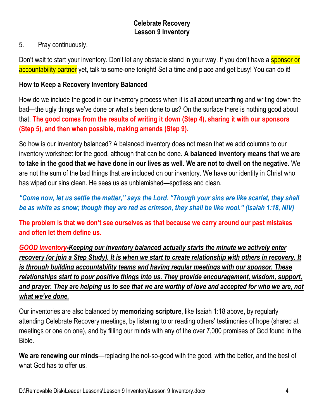### 5. Pray continuously.

Don't wait to start your inventory. Don't let any obstacle stand in your way. If you don't have a sponsor or accountability partner yet, talk to some-one tonight! Set a time and place and get busy! You can do it!

### **How to Keep a Recovery Inventory Balanced**

How do we include the good in our inventory process when it is all about unearthing and writing down the bad—the ugly things we've done or what's been done to us? On the surface there is nothing good about that. **The good comes from the results of writing it down (Step 4), sharing it with our sponsors (Step 5), and then when possible, making amends (Step 9).**

So how is our inventory balanced? A balanced inventory does not mean that we add columns to our inventory worksheet for the good, although that can be done. **A balanced inventory means that we are to take in the good that we have done in our lives as well. We are not to dwell on the negative**. We are not the sum of the bad things that are included on our inventory. We have our identity in Christ who has wiped our sins clean. He sees us as unblemished—spotless and clean.

*"Come now, let us settle the matter," says the Lord. "Though your sins are like scarlet, they shall be as white as snow; though they are red as crimson, they shall be like wool." (Isaiah 1:18, NIV)*

**The problem is that we don't see ourselves as that because we carry around our past mistakes and often let them define us.**

*GOOD Inventory-Keeping our inventory balanced actually starts the minute we actively enter recovery (or join a Step Study). It is when we start to create relationship with others in recovery. It is through building accountability teams and having regular meetings with our sponsor. These relationships start to pour positive things into us. They provide encouragement, wisdom, support, and prayer. They are helping us to see that we are worthy of love and accepted for who we are, not what we've done.*

Our inventories are also balanced by **memorizing scripture**, like Isaiah 1:18 above, by regularly attending Celebrate Recovery meetings, by listening to or reading others' testimonies of hope (shared at meetings or one on one), and by filling our minds with any of the over 7,000 promises of God found in the Bible.

**We are renewing our minds**—replacing the not-so-good with the good, with the better, and the best of what God has to offer us.